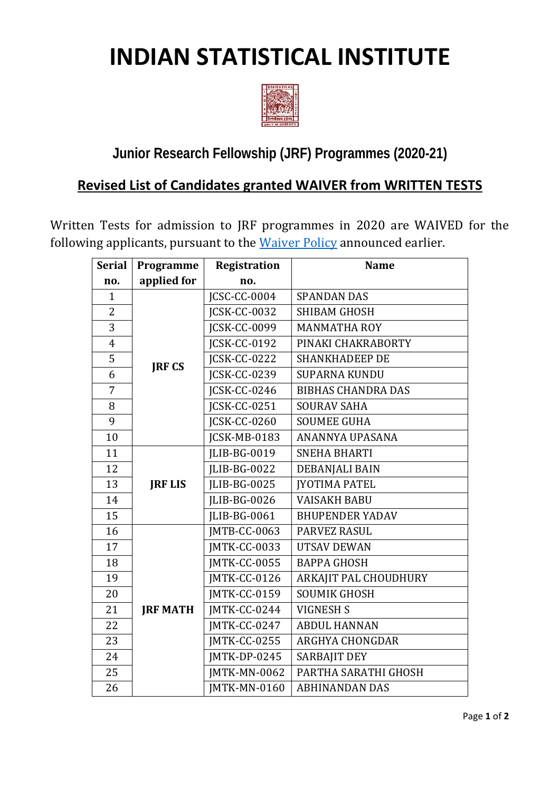## **INDIAN STATISTICAL INSTITUTE**



## **Junior Research Fellowship (JRF) Programmes (2020-21)**

## **Revised List of Candidates granted WAIVER from WRITTEN TESTS**

Written Tests for admission to JRF programmes in 2020 are WAIVED for the following applicants, pursuant to the [Waiver Policy](https://www.isical.ac.in/%7Eadmission/Documents/IsiAdmission2020/Waiver-2020.pdf) announced earlier.

| <b>Serial</b>  | Programme       | <b>Registration</b> | <b>Name</b>               |
|----------------|-----------------|---------------------|---------------------------|
| no.            | applied for     | no.                 |                           |
| $\mathbf{1}$   |                 | <b>ICSC-CC-0004</b> | <b>SPANDAN DAS</b>        |
| $\overline{2}$ |                 | JCSK-CC-0032        | <b>SHIBAM GHOSH</b>       |
| 3              |                 | <b>ICSK-CC-0099</b> | <b>MANMATHA ROY</b>       |
| $\overline{4}$ | <b>JRF CS</b>   | <b>JCSK-CC-0192</b> | PINAKI CHAKRABORTY        |
| 5              |                 | JCSK-CC-0222        | <b>SHANKHADEEP DE</b>     |
| 6              |                 | <b>JCSK-CC-0239</b> | <b>SUPARNA KUNDU</b>      |
| 7              |                 | JCSK-CC-0246        | <b>BIBHAS CHANDRA DAS</b> |
| 8              |                 | <b>JCSK-CC-0251</b> | <b>SOURAV SAHA</b>        |
| 9              |                 | ICSK-CC-0260        | <b>SOUMEE GUHA</b>        |
| 10             |                 | <b>ICSK-MB-0183</b> | ANANNYA UPASANA           |
| 11             |                 | JLIB-BG-0019        | <b>SNEHA BHARTI</b>       |
| 12             |                 | JLIB-BG-0022        | DEBANJALI BAIN            |
| 13             | <b>JRF LIS</b>  | JLIB-BG-0025        | <b>IYOTIMA PATEL</b>      |
| 14             |                 | <b>ILIB-BG-0026</b> | <b>VAISAKH BABU</b>       |
| 15             |                 | <b>ILIB-BG-0061</b> | <b>BHUPENDER YADAV</b>    |
| 16             |                 | JMTB-CC-0063        | PARVEZ RASUL              |
| 17             |                 | JMTK-CC-0033        | <b>UTSAV DEWAN</b>        |
| 18             |                 | JMTK-CC-0055        | <b>BAPPA GHOSH</b>        |
| 19             |                 | JMTK-CC-0126        | ARKAJIT PAL CHOUDHURY     |
| 20             |                 | JMTK-CC-0159        | <b>SOUMIK GHOSH</b>       |
| 21             | <b>JRF MATH</b> | JMTK-CC-0244        | <b>VIGNESH S</b>          |
| 22             |                 | JMTK-CC-0247        | <b>ABDUL HANNAN</b>       |
| 23             |                 | JMTK-CC-0255        | <b>ARGHYA CHONGDAR</b>    |
| 24             |                 | JMTK-DP-0245        | <b>SARBAJIT DEY</b>       |
| 25             |                 | <b>JMTK-MN-0062</b> | PARTHA SARATHI GHOSH      |
| 26             |                 | <b>JMTK-MN-0160</b> | <b>ABHINANDAN DAS</b>     |